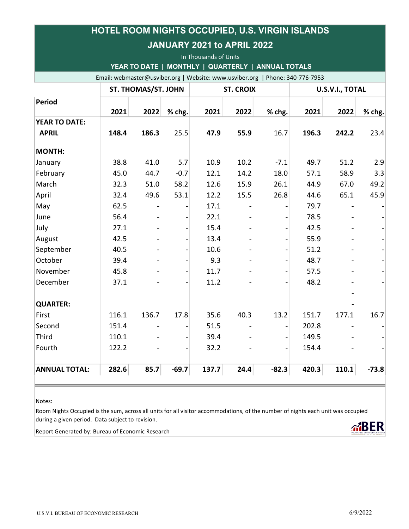| <b>JANUARY 2021 to APRIL 2022</b><br>In Thousands of Units<br>YEAR TO DATE   MONTHLY   QUARTERLY   ANNUAL TOTALS<br>Email: webmaster@usviber.org   Website: www.usviber.org   Phone: 340-776-7953 |       |                          |                          |       |                |                          |       |                |         |               |                            |      |        |                  |      |        |                 |      |        |
|---------------------------------------------------------------------------------------------------------------------------------------------------------------------------------------------------|-------|--------------------------|--------------------------|-------|----------------|--------------------------|-------|----------------|---------|---------------|----------------------------|------|--------|------------------|------|--------|-----------------|------|--------|
|                                                                                                                                                                                                   |       |                          |                          |       |                |                          |       |                |         |               | <b>ST. THOMAS/ST. JOHN</b> |      |        | <b>ST. CROIX</b> |      |        | U.S.V.I., TOTAL |      |        |
|                                                                                                                                                                                                   |       |                          |                          |       |                |                          |       |                |         | <b>Period</b> | 2021                       | 2022 | % chg. | 2021             | 2022 | % chg. | 2021            | 2022 | % chg. |
| <b>YEAR TO DATE:</b>                                                                                                                                                                              |       |                          |                          |       |                |                          |       |                |         |               |                            |      |        |                  |      |        |                 |      |        |
| <b>APRIL</b>                                                                                                                                                                                      | 148.4 | 186.3                    | 25.5                     | 47.9  | 55.9           | 16.7                     | 196.3 | 242.2          | 23.4    |               |                            |      |        |                  |      |        |                 |      |        |
| <b>MONTH:</b>                                                                                                                                                                                     |       |                          |                          |       |                |                          |       |                |         |               |                            |      |        |                  |      |        |                 |      |        |
| January                                                                                                                                                                                           | 38.8  | 41.0                     | 5.7                      | 10.9  | 10.2           | $-7.1$                   | 49.7  | 51.2           | 2.9     |               |                            |      |        |                  |      |        |                 |      |        |
| February                                                                                                                                                                                          | 45.0  | 44.7                     | $-0.7$                   | 12.1  | 14.2           | 18.0                     | 57.1  | 58.9           | 3.3     |               |                            |      |        |                  |      |        |                 |      |        |
| March                                                                                                                                                                                             | 32.3  | 51.0                     | 58.2                     | 12.6  | 15.9           | 26.1                     | 44.9  | 67.0           | 49.2    |               |                            |      |        |                  |      |        |                 |      |        |
| April                                                                                                                                                                                             | 32.4  | 49.6                     | 53.1                     | 12.2  | 15.5           | 26.8                     | 44.6  | 65.1           | 45.9    |               |                            |      |        |                  |      |        |                 |      |        |
| May                                                                                                                                                                                               | 62.5  |                          |                          | 17.1  | $\blacksquare$ |                          | 79.7  |                |         |               |                            |      |        |                  |      |        |                 |      |        |
| June                                                                                                                                                                                              | 56.4  |                          |                          | 22.1  | $\blacksquare$ |                          | 78.5  |                |         |               |                            |      |        |                  |      |        |                 |      |        |
| July                                                                                                                                                                                              | 27.1  | ÷,                       | $\overline{a}$           | 15.4  | $\blacksquare$ | $\overline{\phantom{a}}$ | 42.5  |                |         |               |                            |      |        |                  |      |        |                 |      |        |
| August                                                                                                                                                                                            | 42.5  |                          |                          | 13.4  |                |                          | 55.9  |                |         |               |                            |      |        |                  |      |        |                 |      |        |
| September                                                                                                                                                                                         | 40.5  |                          |                          | 10.6  |                |                          | 51.2  |                |         |               |                            |      |        |                  |      |        |                 |      |        |
| October                                                                                                                                                                                           | 39.4  |                          |                          | 9.3   |                |                          | 48.7  |                |         |               |                            |      |        |                  |      |        |                 |      |        |
| November                                                                                                                                                                                          | 45.8  |                          |                          | 11.7  |                |                          | 57.5  |                |         |               |                            |      |        |                  |      |        |                 |      |        |
| December                                                                                                                                                                                          | 37.1  |                          |                          | 11.2  |                |                          | 48.2  |                |         |               |                            |      |        |                  |      |        |                 |      |        |
| <b>QUARTER:</b>                                                                                                                                                                                   |       |                          |                          |       |                |                          |       |                |         |               |                            |      |        |                  |      |        |                 |      |        |
| First                                                                                                                                                                                             | 116.1 | 136.7                    | 17.8                     | 35.6  | 40.3           | 13.2                     | 151.7 | 177.1          | 16.7    |               |                            |      |        |                  |      |        |                 |      |        |
| Second                                                                                                                                                                                            | 151.4 | $\overline{\phantom{a}}$ | $\overline{\phantom{0}}$ | 51.5  | $\blacksquare$ | $\overline{\phantom{a}}$ | 202.8 | $\blacksquare$ |         |               |                            |      |        |                  |      |        |                 |      |        |
| <b>Third</b>                                                                                                                                                                                      | 110.1 |                          |                          | 39.4  | $\blacksquare$ |                          | 149.5 |                |         |               |                            |      |        |                  |      |        |                 |      |        |
| Fourth                                                                                                                                                                                            | 122.2 |                          |                          | 32.2  |                |                          | 154.4 |                |         |               |                            |      |        |                  |      |        |                 |      |        |
| <b>ANNUAL TOTAL:</b>                                                                                                                                                                              | 282.6 | 85.7                     | $-69.7$                  | 137.7 | 24.4           | $-82.3$                  | 420.3 | 110.1          | $-73.8$ |               |                            |      |        |                  |      |        |                 |      |        |

HOTEL ROOM NIGHTS OCCUPIED, U.S. VIRGIN ISLANDS

## Notes:

Room Nights Occupied is the sum, across all units for all visitor accommodations, of the number of nights each unit was occupied during a given period. Data subject to revision.

Report Generated by: Bureau of Economic Research

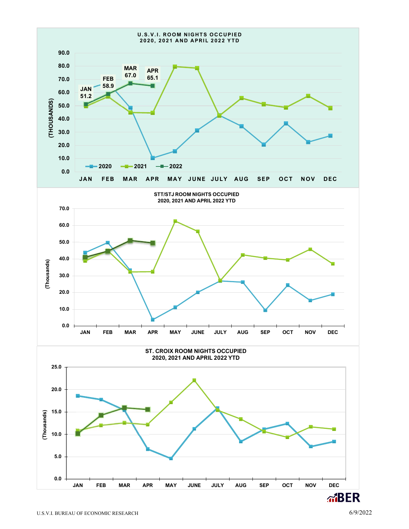